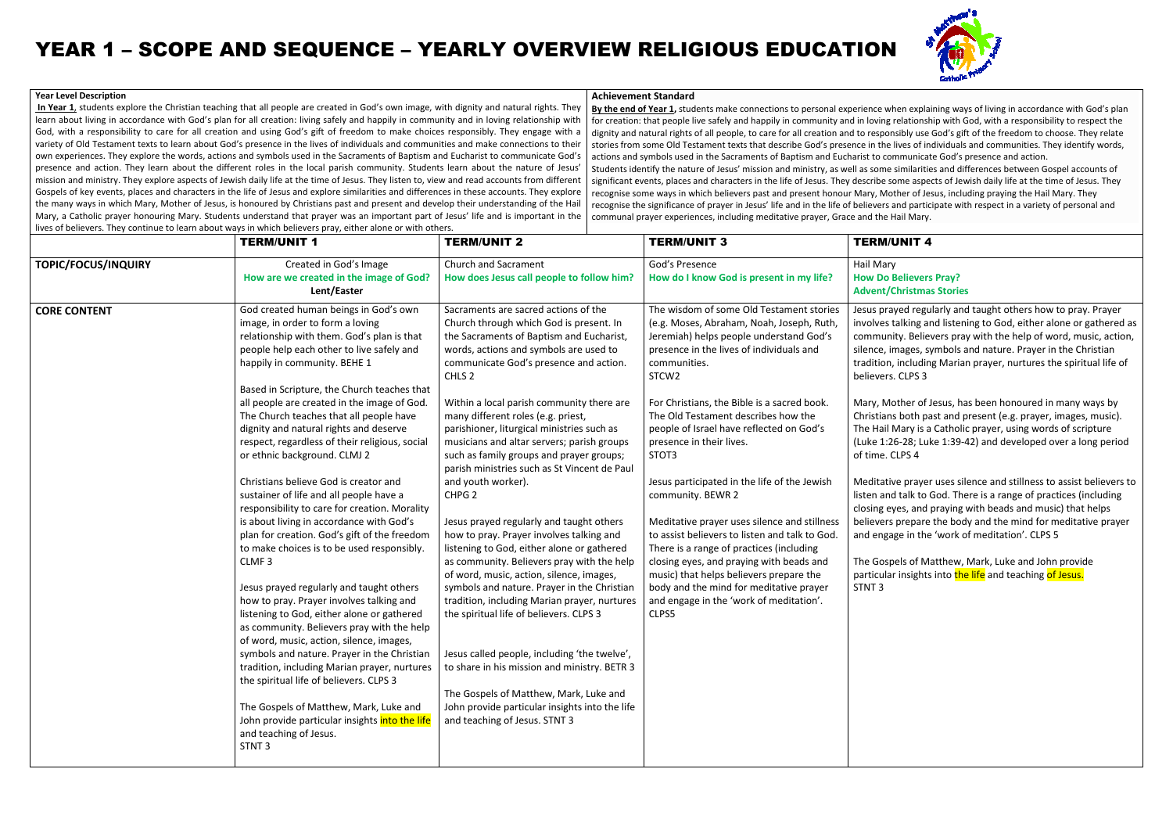# YEAR 1 – SCOPE AND SEQUENCE – YEARLY OVERVIEW RELIGIOUS EDUCATION

#### **Year Level Description**

**In Year 1**, students explore the Christian teaching that all people are created in God's own image, with dignity and natural rights. Theylearn about living in accordance with God's plan for all creation: living safely and happily in community and in loving relationship with learn about living in accordance with God's plan for all creation: living safely and happily in community and in loving relationship with<br>God, with a responsibility to care for all creation and using God's gift of freedom variety of Old Testament texts to learn about God's presence in the lives of individuals and communities and make connections to their God, with a responsibility to care for all creation and using God's gift of freedom to make choices responsibly. They engage with a<br>variety of Old Testament texts to learn about God's presence in the lives of individuals a presence and action. They learn about the different roles in the local parish community. Students learn about the nature of Jesus' mission and ministry. They explore aspects of Jewish daily life at the time of Jesus. They listen to, view and read accounts from different Gospels of key events, places and characters in the life of Jesus and explore similarities and differences in these accounts.the many ways in which Mary, Mother of Jesus, is honoured by Christians past and present and develop their understanding of the Hail Mary, a Catholic prayer honouring Mary. Students understand that prayer was an important part of Jesus' life and is important in the<br>lives of believers. They continue to learn about ways in which believers pray, either alo lives of believers. They continue to learn about ways in which believers pray, either alone or with others. variety of Old Testament texts to learn about God's presence in the lives of individuals and communities and make connections to their<br>own experiences. They explore the words, actions and symbols used in the Sacraments of accounts. They explore

 **By the end of Year 11,** students make connections to personal experience when explaining ways of living in accordance with God's plan for creation: that people live safely and happily in community and in loving relationship with God, with a responsibility to respect the dignity and natural rights of all people, to care for all creation and to responsibly use God's gift of the freedom to choose stories from some Old Testament texts that describe God's presence in the lives of individuals and communities. They identify words, actions and symbols used in the Sacraments of Baptism and Eucharist to communicate God's presence and action. Students identify the nature of Jesus' mission and ministry, as well as some similarities and differences between Gospel accounts of stories from some Old Testament texts that describe God's presence in the lives of individuals and communities. They identify words,<br>actions and symbols used in the Sacraments of Baptism and Eucharist to communicate God's recognise some ways in which believers past and present honour Mary, Mother of Jesus, including praying the Hail Mary. They recognise some ways in which believers past and present honour Mary, Mother of Jesus, including praying the Hail Mary. They<br>recognise the significance of prayer in Jesus' life and in the life of believers and participate w communal prayer experiences, including meditative prayer, Grace and the Hail Mary.<u>1</u>, students make connections to personal experience when explaining ways of living in accordance with God's plar<br>eople live safely and happily in community and in loving relationship with God, with a responsibility to re

#### **Achievement Standard**

|                            | <b>TERM/UNIT 1</b>                                                                                                                                                                                                                                                                                                                                                                                                                                                                                                                                                                                                                                                                                         | <b>TERM/UNIT 2</b>                                                                                                                                                                                                                                                                                                                                                                                                                                                                                                                                                                                                                                 | <b>TERM/UNIT 3</b>                                                                                                                                                                                                                                                                                                                                                                                                                                                                                                                                              | <b>TERM/L</b>                                                                                                                                                                                                         |
|----------------------------|------------------------------------------------------------------------------------------------------------------------------------------------------------------------------------------------------------------------------------------------------------------------------------------------------------------------------------------------------------------------------------------------------------------------------------------------------------------------------------------------------------------------------------------------------------------------------------------------------------------------------------------------------------------------------------------------------------|----------------------------------------------------------------------------------------------------------------------------------------------------------------------------------------------------------------------------------------------------------------------------------------------------------------------------------------------------------------------------------------------------------------------------------------------------------------------------------------------------------------------------------------------------------------------------------------------------------------------------------------------------|-----------------------------------------------------------------------------------------------------------------------------------------------------------------------------------------------------------------------------------------------------------------------------------------------------------------------------------------------------------------------------------------------------------------------------------------------------------------------------------------------------------------------------------------------------------------|-----------------------------------------------------------------------------------------------------------------------------------------------------------------------------------------------------------------------|
| <b>TOPIC/FOCUS/INQUIRY</b> | Created in God's Image<br>How are we created in the image of God?<br>Lent/Easter                                                                                                                                                                                                                                                                                                                                                                                                                                                                                                                                                                                                                           | <b>Church and Sacrament</b><br>How does Jesus call people to follow him?                                                                                                                                                                                                                                                                                                                                                                                                                                                                                                                                                                           | God's Presence<br>How do I know God is present in my life?                                                                                                                                                                                                                                                                                                                                                                                                                                                                                                      | Hail Mary<br><b>How Do B</b><br>Advent/C                                                                                                                                                                              |
| <b>CORE CONTENT</b>        | God created human beings in God's own<br>image, in order to form a loving<br>relationship with them. God's plan is that<br>people help each other to live safely and<br>happily in community. BEHE 1<br>Based in Scripture, the Church teaches that<br>all people are created in the image of God.<br>The Church teaches that all people have<br>dignity and natural rights and deserve<br>respect, regardless of their religious, social<br>or ethnic background. CLMJ 2<br>Christians believe God is creator and<br>sustainer of life and all people have a<br>responsibility to care for creation. Morality<br>is about living in accordance with God's<br>plan for creation. God's gift of the freedom | Sacraments are sacred actions of the<br>Church through which God is present. In<br>the Sacraments of Baptism and Eucharist,<br>words, actions and symbols are used to<br>communicate God's presence and action.<br>CHLS <sub>2</sub><br>Within a local parish community there are<br>many different roles (e.g. priest,<br>parishioner, liturgical ministries such as<br>musicians and altar servers; parish groups<br>such as family groups and prayer groups;<br>parish ministries such as St Vincent de Paul<br>and youth worker).<br>CHPG <sub>2</sub><br>Jesus prayed regularly and taught others<br>how to pray. Prayer involves talking and | The wisdom of some Old Testament stories<br>(e.g. Moses, Abraham, Noah, Joseph, Ruth,<br>Jeremiah) helps people understand God's<br>presence in the lives of individuals and<br>communities.<br>STCW <sub>2</sub><br>For Christians, the Bible is a sacred book.<br>The Old Testament describes how the<br>people of Israel have reflected on God's<br>presence in their lives.<br>STOT3<br>Jesus participated in the life of the Jewish<br>community. BEWR 2<br>Meditative prayer uses silence and stillness<br>to assist believers to listen and talk to God. | Jesus pray<br>involves t<br>communi<br>silence, in<br>tradition,<br>believers.<br>Mary, Mo<br>Christians<br>The Hail N<br>(Luke 1:26<br>of time. C<br>Meditativ<br>listen and<br>closing ey<br>believers<br>and engag |
|                            | to make choices is to be used responsibly.<br>CLMF <sub>3</sub><br>Jesus prayed regularly and taught others<br>how to pray. Prayer involves talking and<br>listening to God, either alone or gathered<br>as community. Believers pray with the help<br>of word, music, action, silence, images,<br>symbols and nature. Prayer in the Christian<br>tradition, including Marian prayer, nurtures<br>the spiritual life of believers. CLPS 3<br>The Gospels of Matthew, Mark, Luke and<br>John provide particular insights into the life<br>and teaching of Jesus.<br>STNT <sub>3</sub>                                                                                                                       | listening to God, either alone or gathered<br>as community. Believers pray with the help<br>of word, music, action, silence, images,<br>symbols and nature. Prayer in the Christian<br>tradition, including Marian prayer, nurtures<br>the spiritual life of believers. CLPS 3<br>Jesus called people, including 'the twelve',<br>to share in his mission and ministry. BETR 3<br>The Gospels of Matthew, Mark, Luke and<br>John provide particular insights into the life<br>and teaching of Jesus. STNT 3                                                                                                                                        | There is a range of practices (including<br>closing eyes, and praying with beads and<br>music) that helps believers prepare the<br>body and the mind for meditative prayer<br>and engage in the 'work of meditation'.<br>CLPS5                                                                                                                                                                                                                                                                                                                                  | The Gosp<br>particular<br>STNT <sub>3</sub>                                                                                                                                                                           |



#### **UNIT 4**

## **How Do Believers Pray? Advent/Christmas Stories**

aved regularly and taught others how to pray. Prayer talking and listening to God, either alone or gathered as hity. Believers pray with the help of word, music, action, images, symbols and nature. Prayer in the Christian ther including Marian prayer, nurtures the spiritual life of s. CLPS 3 Jesus prayed regularly and taught others how to pray. Praye<br>involves talking and listening to God, either alone or gather<br>community. Believers pray with the help of word, music, ac<br>silence, images, symbols and nature. Pray

other of Jesus, has been honoured in many ways by Is both past and present (e.g. prayer, images, music). Mary is a Catholic prayer, using words of scripture 26-28; Luke 1:39-42) and developed over a long period CLPS 4

ive praver uses silence and stillness to assist believers to Id talk to God. There is a range of practices (including yes, and praying with beads and music) that helps believers prepare the body and the mind for meditative prayer age in the 'work of meditation'. CLPS 5 listen and talk to God. There is a range of practices (including<br>closing eyes, and praying with beads and music) that helps<br>believers prepare the body and the mind for meditative prayer<br>and engage in the 'work of meditatio

pels of Matthew, Mark, Luke and John provide ir insights into the life and teaching of Jesus.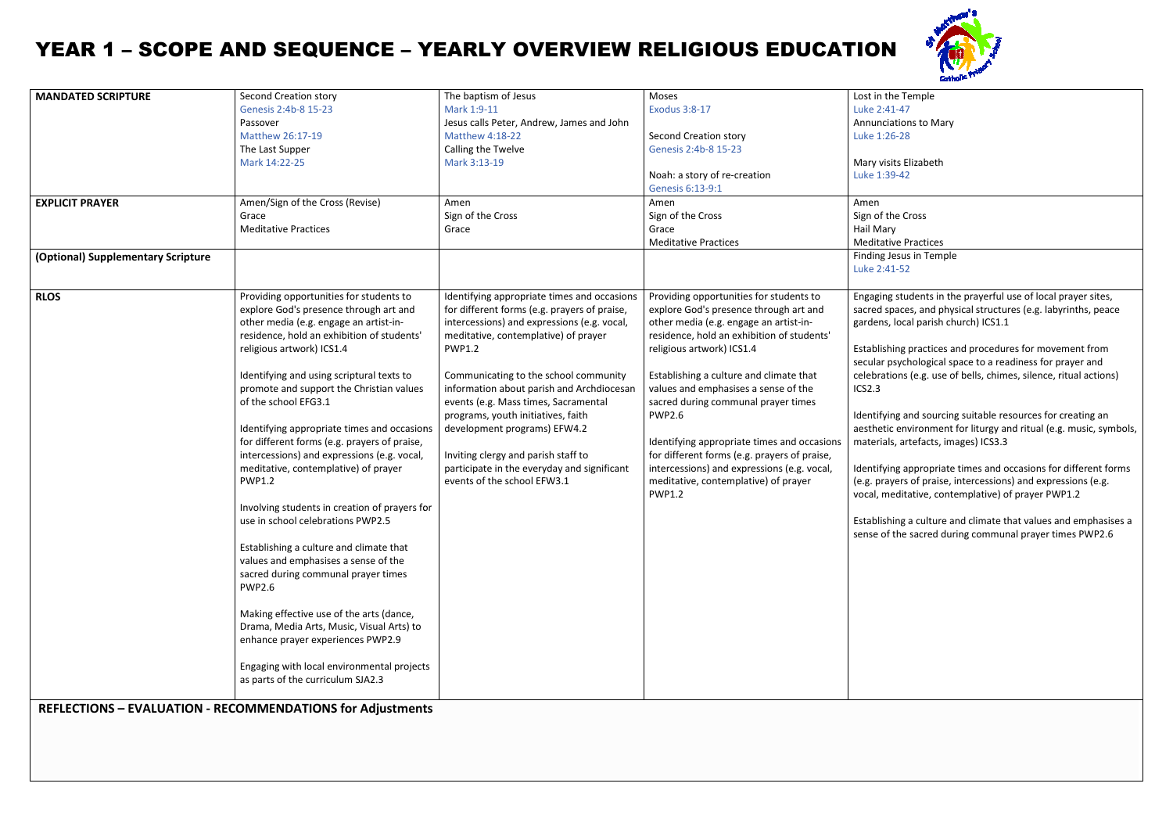# YEAR 1 – SCOPE AND SEQUENCE – YEARLY OVERVIEW

### **REFLECTIONS – EVALUATION -RECOMMENDATIONS for Adjustments**



the Temple 41-47 Annunciations to Mary 26-28

> sits Elizabeth 89-42

| <b>MANDATED SCRIPTURE</b>          | Second Creation story<br>Genesis 2:4b-8 15-23<br>Passover<br>Matthew 26:17-19<br>The Last Supper<br>Mark 14:22-25                                                                                                                                                                                                                                                                                                                                                                                                                                                                                                                                                                                                                                                                                                                                                                                                                                                                | The baptism of Jesus<br>Mark 1:9-11<br>Jesus calls Peter, Andrew, James and John<br><b>Matthew 4:18-22</b><br>Calling the Twelve<br>Mark 3:13-19                                                                                                                                                                                                                                                                                                                                                                             | Moses<br><b>Exodus 3:8-17</b><br>Second Creation story<br>Genesis 2:4b-8 15-23<br>Noah: a story of re-creation<br>Genesis 6:13-9:1                                                                                                                                                                                                                                                                                                                                                                                                                       | Lost in the Te<br>Luke 2:41-47<br>Annunciation<br>Luke 1:26-28<br>Mary visits E<br>Luke 1:39-42                                                                                                                                                      |
|------------------------------------|----------------------------------------------------------------------------------------------------------------------------------------------------------------------------------------------------------------------------------------------------------------------------------------------------------------------------------------------------------------------------------------------------------------------------------------------------------------------------------------------------------------------------------------------------------------------------------------------------------------------------------------------------------------------------------------------------------------------------------------------------------------------------------------------------------------------------------------------------------------------------------------------------------------------------------------------------------------------------------|------------------------------------------------------------------------------------------------------------------------------------------------------------------------------------------------------------------------------------------------------------------------------------------------------------------------------------------------------------------------------------------------------------------------------------------------------------------------------------------------------------------------------|----------------------------------------------------------------------------------------------------------------------------------------------------------------------------------------------------------------------------------------------------------------------------------------------------------------------------------------------------------------------------------------------------------------------------------------------------------------------------------------------------------------------------------------------------------|------------------------------------------------------------------------------------------------------------------------------------------------------------------------------------------------------------------------------------------------------|
| <b>EXPLICIT PRAYER</b>             | Amen/Sign of the Cross (Revise)<br>Grace<br><b>Meditative Practices</b>                                                                                                                                                                                                                                                                                                                                                                                                                                                                                                                                                                                                                                                                                                                                                                                                                                                                                                          | Amen<br>Sign of the Cross<br>Grace                                                                                                                                                                                                                                                                                                                                                                                                                                                                                           | Amen<br>Sign of the Cross<br>Grace<br><b>Meditative Practices</b>                                                                                                                                                                                                                                                                                                                                                                                                                                                                                        | Amen<br>Sign of the C<br>Hail Mary<br>Meditative P                                                                                                                                                                                                   |
| (Optional) Supplementary Scripture |                                                                                                                                                                                                                                                                                                                                                                                                                                                                                                                                                                                                                                                                                                                                                                                                                                                                                                                                                                                  |                                                                                                                                                                                                                                                                                                                                                                                                                                                                                                                              |                                                                                                                                                                                                                                                                                                                                                                                                                                                                                                                                                          | <b>Finding Jesus</b><br>Luke 2:41-52                                                                                                                                                                                                                 |
| <b>RLOS</b>                        | Providing opportunities for students to<br>explore God's presence through art and<br>other media (e.g. engage an artist-in-<br>residence, hold an exhibition of students'<br>religious artwork) ICS1.4<br>Identifying and using scriptural texts to<br>promote and support the Christian values<br>of the school EFG3.1<br>Identifying appropriate times and occasions<br>for different forms (e.g. prayers of praise,<br>intercessions) and expressions (e.g. vocal,<br>meditative, contemplative) of prayer<br><b>PWP1.2</b><br>Involving students in creation of prayers for<br>use in school celebrations PWP2.5<br>Establishing a culture and climate that<br>values and emphasises a sense of the<br>sacred during communal prayer times<br><b>PWP2.6</b><br>Making effective use of the arts (dance,<br>Drama, Media Arts, Music, Visual Arts) to<br>enhance prayer experiences PWP2.9<br>Engaging with local environmental projects<br>as parts of the curriculum SJA2.3 | Identifying appropriate times and occasions<br>for different forms (e.g. prayers of praise,<br>intercessions) and expressions (e.g. vocal,<br>meditative, contemplative) of prayer<br><b>PWP1.2</b><br>Communicating to the school community<br>information about parish and Archdiocesan<br>events (e.g. Mass times, Sacramental<br>programs, youth initiatives, faith<br>development programs) EFW4.2<br>Inviting clergy and parish staff to<br>participate in the everyday and significant<br>events of the school EFW3.1 | Providing opportunities for students to<br>explore God's presence through art and<br>other media (e.g. engage an artist-in-<br>residence, hold an exhibition of students'<br>religious artwork) ICS1.4<br>Establishing a culture and climate that<br>values and emphasises a sense of the<br>sacred during communal prayer times<br><b>PWP2.6</b><br>Identifying appropriate times and occasions<br>for different forms (e.g. prayers of praise,<br>intercessions) and expressions (e.g. vocal,<br>meditative, contemplative) of prayer<br><b>PWP1.2</b> | Engaging stu<br>sacred space<br>gardens, loca<br>Establishing<br>secular psych<br>celebrations<br><b>ICS2.3</b><br>Identifying a<br>aesthetic en<br>materials, ar<br>Identifying a<br>(e.g. prayers<br>vocal, medita<br>Establishing<br>sense of the |

| Sign of the Cross       |
|-------------------------|
| Hail Mary               |
| Meditative Practices    |
| Finding Jesus in Temple |
| Luke 2:41-52            |

g students in the prayerful use of local prayer sites, spaces, and physical structures (e.g. labyrinths, peace local parish church) ICS1.1

hing practices and procedures for movement from psychological space to a readiness for prayer and tions (e.g. use of bells, chimes, silence, ritual actions) ing students in the prayerful use of local prayer s<br>d spaces, and physical structures (e.g. labyrinths,<br>ms, local parish church) ICS1.1<br>lishing practices and procedures for movement fr<br>ar psychological space to a readiness

ing and sourcing suitable resources for creating an ic environment for liturgy and ritual (e.g. music, symbols, Ils, artefacts, images) ICS3.3

ing appropriate times and occasions for different forms (e.g. prayers of praise, intercessions) and expressions (e.g. neditative, contemplative) of prayer PWP1.2 ppropriate times and occasions for different<br>of praise, intercessions) and expressions (e.g<br>ative, contemplative) of prayer PWP1.2<br>a culture and climate that values and empha

hing a culture and climate that values and emphasises a sense of the sacred during communal prayer times PWP2.6